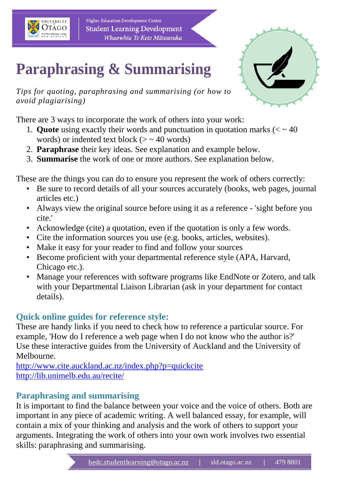

Higher Education Development Centre **Student Learning Development** Whaowhia Te Kete Mātauraka

# **Paraphrasing & Summarising**

*Tips for quoting, paraphrasing and summarising (or how to avoid plagiarising)*

There are 3 ways to incorporate the work of others into your work:

- 1. **Quote** using exactly their words and punctuation in quotation marks  $(< \sim 40$ words) or indented text block ( $>$   $\sim$  40 words)
- 2. **Paraphrase** their key ideas. See explanation and example below.
- 3. **Summarise** the work of one or more authors. See explanation below.

These are the things you can do to ensure you represent the work of others correctly:

- Be sure to record details of all your sources accurately (books, web pages, journal articles etc.)
- Always view the original source before using it as a reference 'sight before you cite.'
- Acknowledge (cite) a quotation, even if the quotation is only a few words.
- Cite the information sources you use (e.g. books, articles, websites).
- Make it easy for your reader to find and follow your sources
- Become proficient with your departmental reference style (APA, Harvard, Chicago etc.).
- Manage your references with software programs like EndNote or Zotero, and talk with your Departmental Liaison Librarian (ask in your department for contact details).

# **Quick online guides for reference style:**

These are handy links if you need to check how to reference a particular source. For example, 'How do I reference a web page when I do not know who the author is?' Use these interactive guides from the University of Auckland and the University of Melbourne.

<http://www.cite.auckland.ac.nz/index.php?p=quickcite> <http://lib.unimelb.edu.au/recite/>

# **Paraphrasing and summarising**

It is important to find the balance between your voice and the voice of others. Both are important in any piece of academic writing. A well balanced essay, for example, will contain a mix of your thinking and analysis and the work of others to support your arguments. Integrating the work of others into your own work involves two essential skills: paraphrasing and summarising.

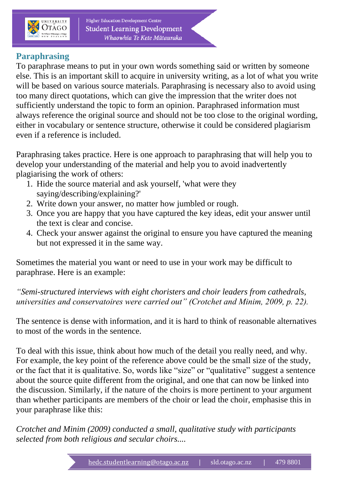

Higher Education Development Centre **Student Learning Development** Whaowhia Te Kete Mātauraka

## **Paraphrasing**

To paraphrase means to put in your own words something said or written by someone else. This is an important skill to acquire in university writing, as a lot of what you write will be based on various source materials. Paraphrasing is necessary also to avoid using too many direct quotations, which can give the impression that the writer does not sufficiently understand the topic to form an opinion. Paraphrased information must always reference the original source and should not be too close to the original wording, either in vocabulary or sentence structure, otherwise it could be considered plagiarism even if a reference is included.

Paraphrasing takes practice. Here is one approach to paraphrasing that will help you to develop your understanding of the material and help you to avoid inadvertently plagiarising the work of others:

- 1. Hide the source material and ask yourself, 'what were they saying/describing/explaining?'
- 2. Write down your answer, no matter how jumbled or rough.
- 3. Once you are happy that you have captured the key ideas, edit your answer until the text is clear and concise.
- 4. Check your answer against the original to ensure you have captured the meaning but not expressed it in the same way.

Sometimes the material you want or need to use in your work may be difficult to paraphrase. Here is an example:

*"Semi-structured interviews with eight choristers and choir leaders from cathedrals, universities and conservatoires were carried out" (Crotchet and Minim, 2009, p. 22).*

The sentence is dense with information, and it is hard to think of reasonable alternatives to most of the words in the sentence.

To deal with this issue, think about how much of the detail you really need, and why. For example, the key point of the reference above could be the small size of the study, or the fact that it is qualitative. So, words like "size" or "qualitative" suggest a sentence about the source quite different from the original, and one that can now be linked into the discussion. Similarly, if the nature of the choirs is more pertinent to your argument than whether participants are members of the choir or lead the choir, emphasise this in your paraphrase like this:

*Crotchet and Minim (2009) conducted a small, qualitative study with participants selected from both religious and secular choirs....*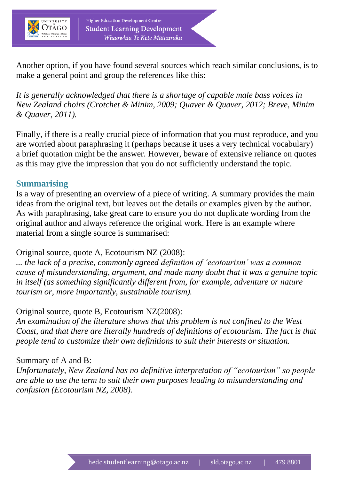

Higher Education Development Centre **Student Learning Development** Whaowhia Te Kete Mātauraka

Another option, if you have found several sources which reach similar conclusions, is to make a general point and group the references like this:

*It is generally acknowledged that there is a shortage of capable male bass voices in New Zealand choirs (Crotchet & Minim, 2009; Quaver & Quaver, 2012; Breve, Minim & Quaver, 2011).*

Finally, if there is a really crucial piece of information that you must reproduce, and you are worried about paraphrasing it (perhaps because it uses a very technical vocabulary) a brief quotation might be the answer. However, beware of extensive reliance on quotes as this may give the impression that you do not sufficiently understand the topic.

## **Summarising**

Is a way of presenting an overview of a piece of writing. A summary provides the main ideas from the original text, but leaves out the details or examples given by the author. As with paraphrasing, take great care to ensure you do not duplicate wording from the original author and always reference the original work. Here is an example where material from a single source is summarised:

### Original source, quote A, Ecotourism NZ (2008):

*... the lack of a precise, commonly agreed definition of 'ecotourism' was a common cause of misunderstanding, argument, and made many doubt that it was a genuine topic in itself (as something significantly different from, for example, adventure or nature tourism or, more importantly, sustainable tourism).*

### Original source, quote B, Ecotourism NZ(2008):

*An examination of the literature shows that this problem is not confined to the West Coast, and that there are literally hundreds of definitions of ecotourism. The fact is that people tend to customize their own definitions to suit their interests or situation.*

### Summary of A and B:

*Unfortunately, New Zealand has no definitive interpretation of "ecotourism" so people are able to use the term to suit their own purposes leading to misunderstanding and confusion (Ecotourism NZ, 2008).*